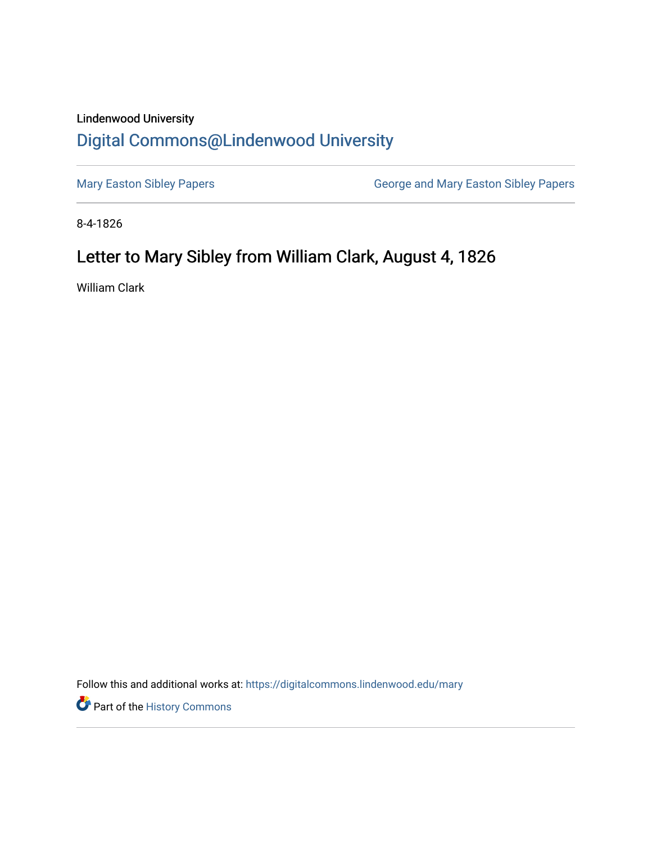## Lindenwood University

## [Digital Commons@Lindenwood University](https://digitalcommons.lindenwood.edu/)

[Mary Easton Sibley Papers](https://digitalcommons.lindenwood.edu/mary) **George and Mary Easton Sibley Papers** George and Mary Easton Sibley Papers

8-4-1826

## Letter to Mary Sibley from William Clark, August 4, 1826

William Clark

Follow this and additional works at: [https://digitalcommons.lindenwood.edu/mary](https://digitalcommons.lindenwood.edu/mary?utm_source=digitalcommons.lindenwood.edu%2Fmary%2F21&utm_medium=PDF&utm_campaign=PDFCoverPages) 

**Part of the History Commons**